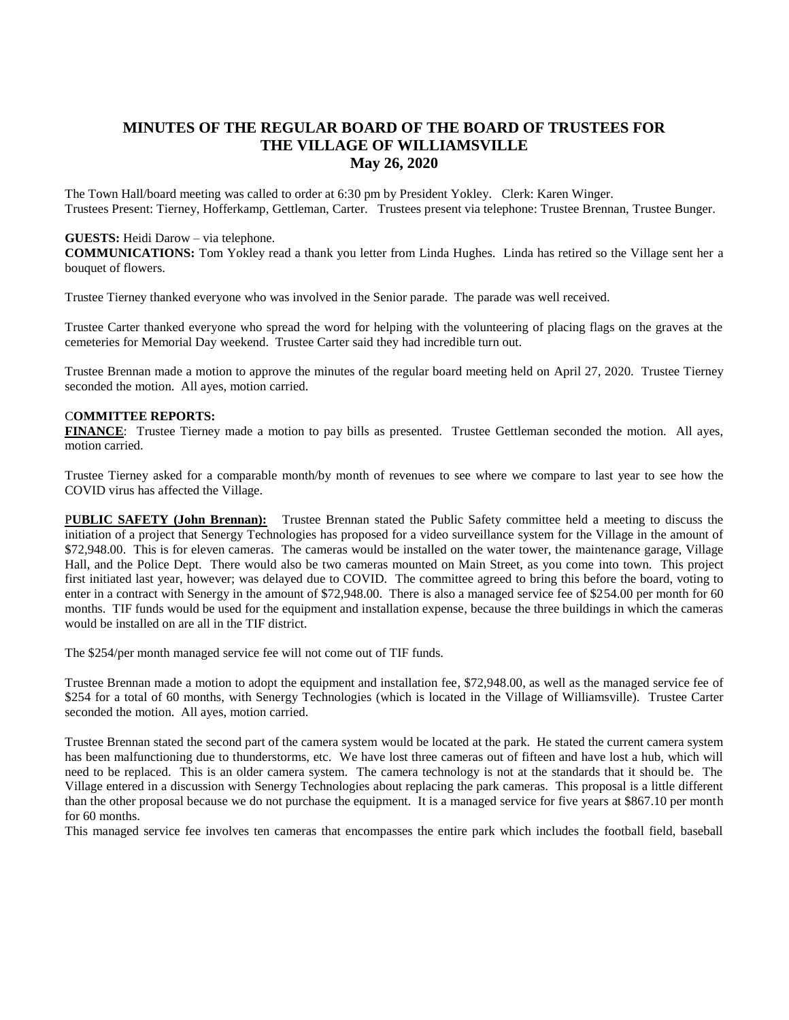## **MINUTES OF THE REGULAR BOARD OF THE BOARD OF TRUSTEES FOR THE VILLAGE OF WILLIAMSVILLE May 26, 2020**

The Town Hall/board meeting was called to order at 6:30 pm by President Yokley. Clerk: Karen Winger. Trustees Present: Tierney, Hofferkamp, Gettleman, Carter. Trustees present via telephone: Trustee Brennan, Trustee Bunger.

## **GUESTS:** Heidi Darow – via telephone.

**COMMUNICATIONS:** Tom Yokley read a thank you letter from Linda Hughes. Linda has retired so the Village sent her a bouquet of flowers.

Trustee Tierney thanked everyone who was involved in the Senior parade. The parade was well received.

Trustee Carter thanked everyone who spread the word for helping with the volunteering of placing flags on the graves at the cemeteries for Memorial Day weekend. Trustee Carter said they had incredible turn out.

Trustee Brennan made a motion to approve the minutes of the regular board meeting held on April 27, 2020. Trustee Tierney seconded the motion. All ayes, motion carried.

## C**OMMITTEE REPORTS:**

**FINANCE**: Trustee Tierney made a motion to pay bills as presented. Trustee Gettleman seconded the motion. All ayes, motion carried.

Trustee Tierney asked for a comparable month/by month of revenues to see where we compare to last year to see how the COVID virus has affected the Village.

P**UBLIC SAFETY (John Brennan):** Trustee Brennan stated the Public Safety committee held a meeting to discuss the initiation of a project that Senergy Technologies has proposed for a video surveillance system for the Village in the amount of \$72,948.00. This is for eleven cameras. The cameras would be installed on the water tower, the maintenance garage, Village Hall, and the Police Dept. There would also be two cameras mounted on Main Street, as you come into town. This project first initiated last year, however; was delayed due to COVID. The committee agreed to bring this before the board, voting to enter in a contract with Senergy in the amount of \$72,948.00. There is also a managed service fee of \$254.00 per month for 60 months. TIF funds would be used for the equipment and installation expense, because the three buildings in which the cameras would be installed on are all in the TIF district.

The \$254/per month managed service fee will not come out of TIF funds.

Trustee Brennan made a motion to adopt the equipment and installation fee, \$72,948.00, as well as the managed service fee of \$254 for a total of 60 months, with Senergy Technologies (which is located in the Village of Williamsville). Trustee Carter seconded the motion. All ayes, motion carried.

Trustee Brennan stated the second part of the camera system would be located at the park. He stated the current camera system has been malfunctioning due to thunderstorms, etc. We have lost three cameras out of fifteen and have lost a hub, which will need to be replaced. This is an older camera system. The camera technology is not at the standards that it should be. The Village entered in a discussion with Senergy Technologies about replacing the park cameras. This proposal is a little different than the other proposal because we do not purchase the equipment. It is a managed service for five years at \$867.10 per month for 60 months.

This managed service fee involves ten cameras that encompasses the entire park which includes the football field, baseball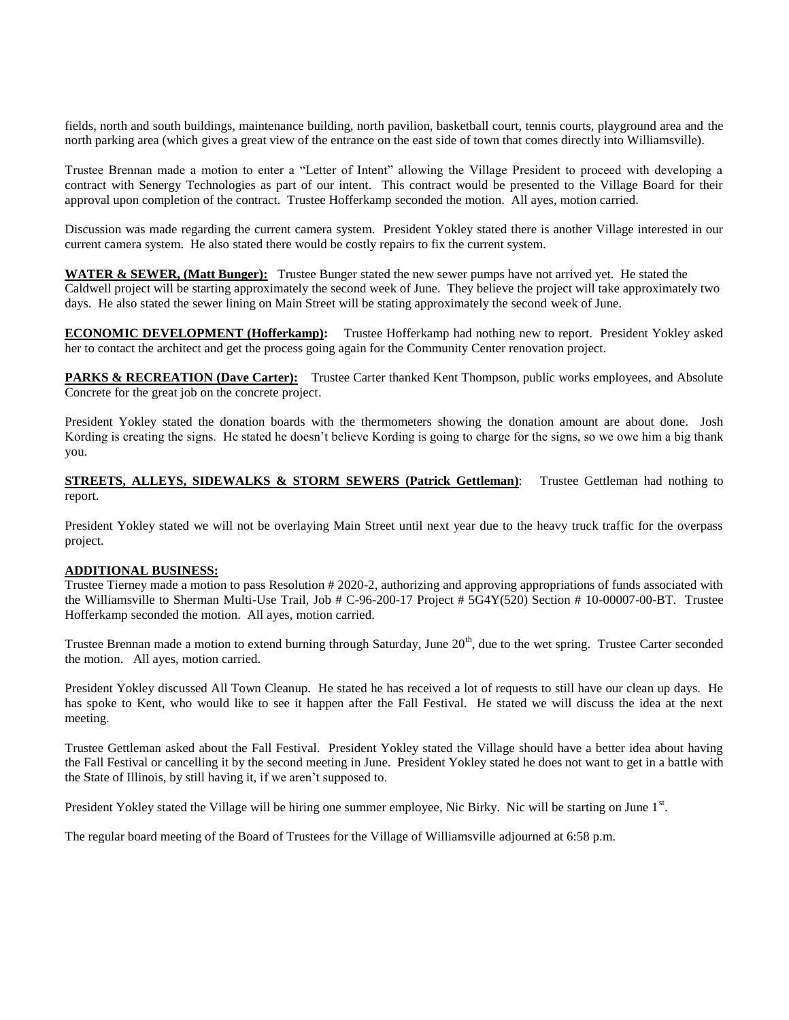fields, north and south buildings, maintenance building, north pavilion, basketball court, tennis courts, playground area and the north parking area (which gives a great view of the entrance on the east side of town that comes directly into Williamsville).

Trustee Brennan made a motion to enter a "Letter of Intent" allowing the Village President to proceed with developing a contract with Senergy Technologies as part of our intent. This contract would be presented to the Village Board for their approval upon completion of the contract. Trustee Hofferkamp seconded the motion. All ayes, motion carried.

Discussion was made regarding the current camera system. President Yokley stated there is another Village interested in our current camera system. He also stated there would be costly repairs to fix the current system.

**WATER & SEWER, (Matt Bunger):** Trustee Bunger stated the new sewer pumps have not arrived yet. He stated the Caldwell project will be starting approximately the second week of June. They believe the project will take approximately two days. He also stated the sewer lining on Main Street will be stating approximately the second week of June.

**ECONOMIC DEVELOPMENT (Hofferkamp):** Trustee Hofferkamp had nothing new to report. President Yokley asked her to contact the architect and get the process going again for the Community Center renovation project.

**PARKS & RECREATION (Dave Carter):** Trustee Carter thanked Kent Thompson, public works employees, and Absolute Concrete for the great job on the concrete project.

President Yokley stated the donation boards with the thermometers showing the donation amount are about done. Josh Kording is creating the signs. He stated he doesn't believe Kording is going to charge for the signs, so we owe him a big thank you.

**STREETS, ALLEYS, SIDEWALKS & STORM SEWERS (Patrick Gettleman)**: Trustee Gettleman had nothing to report.

President Yokley stated we will not be overlaying Main Street until next year due to the heavy truck traffic for the overpass project.

## **ADDITIONAL BUSINESS:**

Trustee Tierney made a motion to pass Resolution # 2020-2, authorizing and approving appropriations of funds associated with the Williamsville to Sherman Multi-Use Trail, Job # C-96-200-17 Project # 5G4Y(520) Section # 10-00007-00-BT. Trustee Hofferkamp seconded the motion. All ayes, motion carried.

Trustee Brennan made a motion to extend burning through Saturday, June 20<sup>th</sup>, due to the wet spring. Trustee Carter seconded the motion. All ayes, motion carried.

President Yokley discussed All Town Cleanup. He stated he has received a lot of requests to still have our clean up days. He has spoke to Kent, who would like to see it happen after the Fall Festival. He stated we will discuss the idea at the next meeting.

Trustee Gettleman asked about the Fall Festival. President Yokley stated the Village should have a better idea about having the Fall Festival or cancelling it by the second meeting in June. President Yokley stated he does not want to get in a battle with the State of Illinois, by still having it, if we aren't supposed to.

President Yokley stated the Village will be hiring one summer employee, Nic Birky. Nic will be starting on June 1<sup>st</sup>.

The regular board meeting of the Board of Trustees for the Village of Williamsville adjourned at 6:58 p.m.